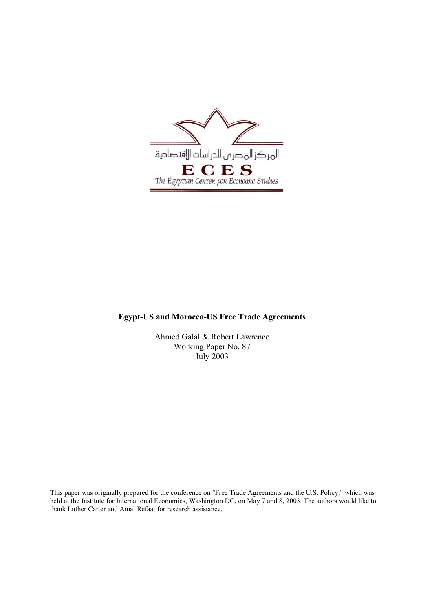

## **Egypt-US and Morocco-US Free Trade Agreements**

Ahmed Galal & Robert Lawrence Working Paper No. 87 July 2003

This paper was originally prepared for the conference on "Free Trade Agreements and the U.S. Policy," which was held at the Institute for International Economics, Washington DC, on May 7 and 8, 2003. The authors would like to thank Luther Carter and Amal Refaat for research assistance.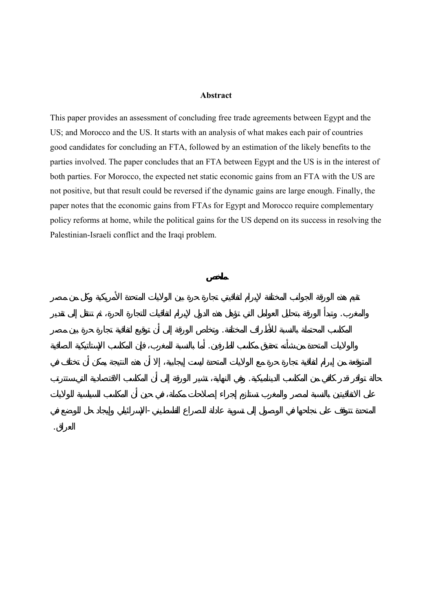#### **Abstract**

This paper provides an assessment of concluding free trade agreements between Egypt and the US; and Morocco and the US. It starts with an analysis of what makes each pair of countries good candidates for concluding an FTA, followed by an estimation of the likely benefits to the parties involved. The paper concludes that an FTA between Egypt and the US is in the interest of both parties. For Morocco, the expected net static economic gains from an FTA with the US are not positive, but that result could be reversed if the dynamic gains are large enough. Finally, the paper notes that the economic gains from FTAs for Egypt and Morocco require complementary policy reforms at home, while the political gains for the US depend on its success in resolving the Palestinian-Israeli conflict and the Iraqi problem.

المغرب. وتبدأ الورقة بتحليل العوامل التي تؤهل هذه الدول لإبرام اتفاقيات للتجارة الحرة، ثم تنتقل إلى تقدير

لمكاسب المحتملة بالنسبة لأطراف المختلفة. وتخلص الورقة إلى أن توقيع اتفاقية تجارة حرة بين مصر

والولايات المتحدة من شأنه تحقيق مكاسب لطرفين. أما بالنسبة للمغرب، فإن المكاسب ستاتيكية الصافية

حالة توافر قدر كافي من المكاسب الديناميكية. وفي النهاية، تشير الورقة إلى أن المكاسب الاقتصادية التي ستترتب

المتحدة تتوقف على نجاحها في الوصول إلى تسوية عادلة للصراع الفلسطيني-الإسرائيلي وإيجاد حل للوضع في

العراق .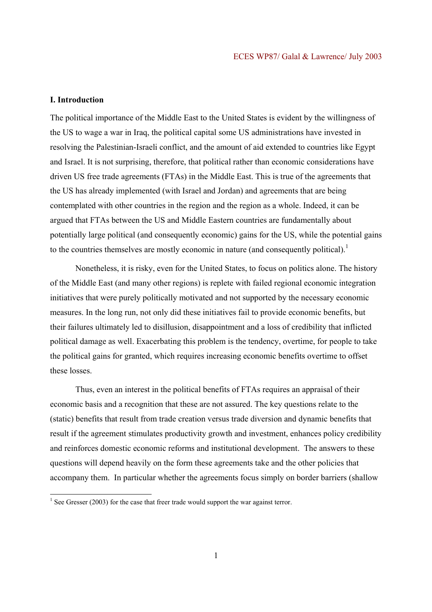## **I. Introduction**

The political importance of the Middle East to the United States is evident by the willingness of the US to wage a war in Iraq, the political capital some US administrations have invested in resolving the Palestinian-Israeli conflict, and the amount of aid extended to countries like Egypt and Israel. It is not surprising, therefore, that political rather than economic considerations have driven US free trade agreements (FTAs) in the Middle East. This is true of the agreements that the US has already implemented (with Israel and Jordan) and agreements that are being contemplated with other countries in the region and the region as a whole. Indeed, it can be argued that FTAs between the US and Middle Eastern countries are fundamentally about potentially large political (and consequently economic) gains for the US, while the potential gains to the countries themselves are mostly economic in nature (and consequently political).<sup>1</sup>

Nonetheless, it is risky, even for the United States, to focus on politics alone. The history of the Middle East (and many other regions) is replete with failed regional economic integration initiatives that were purely politically motivated and not supported by the necessary economic measures. In the long run, not only did these initiatives fail to provide economic benefits, but their failures ultimately led to disillusion, disappointment and a loss of credibility that inflicted political damage as well. Exacerbating this problem is the tendency, overtime, for people to take the political gains for granted, which requires increasing economic benefits overtime to offset these losses.

Thus, even an interest in the political benefits of FTAs requires an appraisal of their economic basis and a recognition that these are not assured. The key questions relate to the (static) benefits that result from trade creation versus trade diversion and dynamic benefits that result if the agreement stimulates productivity growth and investment, enhances policy credibility and reinforces domestic economic reforms and institutional development. The answers to these questions will depend heavily on the form these agreements take and the other policies that accompany them. In particular whether the agreements focus simply on border barriers (shallow

<sup>&</sup>lt;sup>1</sup> See Gresser (2003) for the case that freer trade would support the war against terror.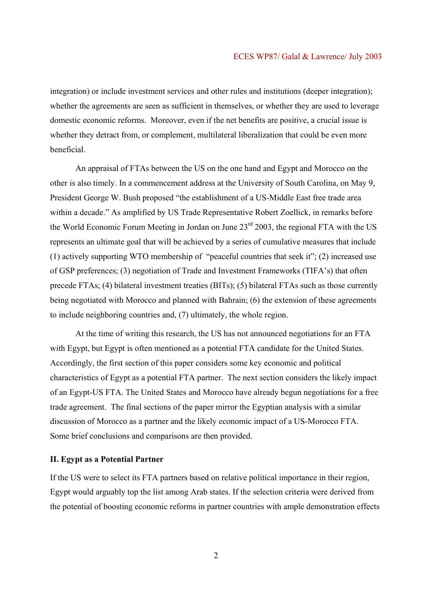integration) or include investment services and other rules and institutions (deeper integration); whether the agreements are seen as sufficient in themselves, or whether they are used to leverage domestic economic reforms. Moreover, even if the net benefits are positive, a crucial issue is whether they detract from, or complement, multilateral liberalization that could be even more beneficial.

An appraisal of FTAs between the US on the one hand and Egypt and Morocco on the other is also timely. In a commencement address at the University of South Carolina, on May 9, President George W. Bush proposed "the establishment of a US-Middle East free trade area within a decade." As amplified by US Trade Representative Robert Zoellick, in remarks before the World Economic Forum Meeting in Jordan on June  $23<sup>rd</sup>$  2003, the regional FTA with the US represents an ultimate goal that will be achieved by a series of cumulative measures that include (1) actively supporting WTO membership of "peaceful countries that seek it"; (2) increased use of GSP preferences; (3) negotiation of Trade and Investment Frameworks (TIFA's) that often precede FTAs; (4) bilateral investment treaties (BITs); (5) bilateral FTAs such as those currently being negotiated with Morocco and planned with Bahrain; (6) the extension of these agreements to include neighboring countries and, (7) ultimately, the whole region.

At the time of writing this research, the US has not announced negotiations for an FTA with Egypt, but Egypt is often mentioned as a potential FTA candidate for the United States. Accordingly, the first section of this paper considers some key economic and political characteristics of Egypt as a potential FTA partner. The next section considers the likely impact of an Egypt-US FTA. The United States and Morocco have already begun negotiations for a free trade agreement. The final sections of the paper mirror the Egyptian analysis with a similar discussion of Morocco as a partner and the likely economic impact of a US-Morocco FTA. Some brief conclusions and comparisons are then provided.

#### **II. Egypt as a Potential Partner**

If the US were to select its FTA partners based on relative political importance in their region, Egypt would arguably top the list among Arab states. If the selection criteria were derived from the potential of boosting economic reforms in partner countries with ample demonstration effects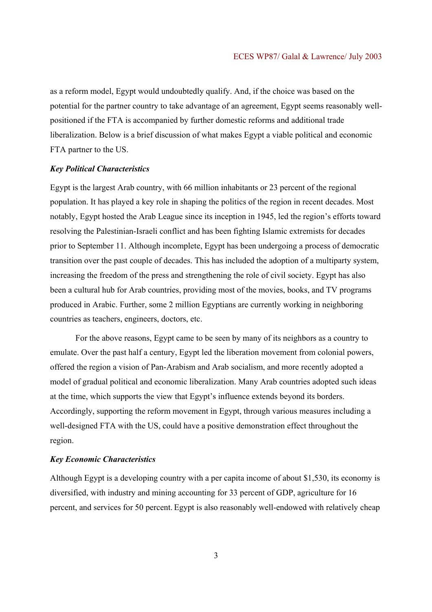as a reform model, Egypt would undoubtedly qualify. And, if the choice was based on the potential for the partner country to take advantage of an agreement, Egypt seems reasonably wellpositioned if the FTA is accompanied by further domestic reforms and additional trade liberalization. Below is a brief discussion of what makes Egypt a viable political and economic FTA partner to the US.

## *Key Political Characteristics*

Egypt is the largest Arab country, with 66 million inhabitants or 23 percent of the regional population. It has played a key role in shaping the politics of the region in recent decades. Most notably, Egypt hosted the Arab League since its inception in 1945, led the region's efforts toward resolving the Palestinian-Israeli conflict and has been fighting Islamic extremists for decades prior to September 11. Although incomplete, Egypt has been undergoing a process of democratic transition over the past couple of decades. This has included the adoption of a multiparty system, increasing the freedom of the press and strengthening the role of civil society. Egypt has also been a cultural hub for Arab countries, providing most of the movies, books, and TV programs produced in Arabic. Further, some 2 million Egyptians are currently working in neighboring countries as teachers, engineers, doctors, etc.

For the above reasons, Egypt came to be seen by many of its neighbors as a country to emulate. Over the past half a century, Egypt led the liberation movement from colonial powers, offered the region a vision of Pan-Arabism and Arab socialism, and more recently adopted a model of gradual political and economic liberalization. Many Arab countries adopted such ideas at the time, which supports the view that Egypt's influence extends beyond its borders. Accordingly, supporting the reform movement in Egypt, through various measures including a well-designed FTA with the US, could have a positive demonstration effect throughout the region.

#### *Key Economic Characteristics*

Although Egypt is a developing country with a per capita income of about \$1,530, its economy is diversified, with industry and mining accounting for 33 percent of GDP, agriculture for 16 percent, and services for 50 percent. Egypt is also reasonably well-endowed with relatively cheap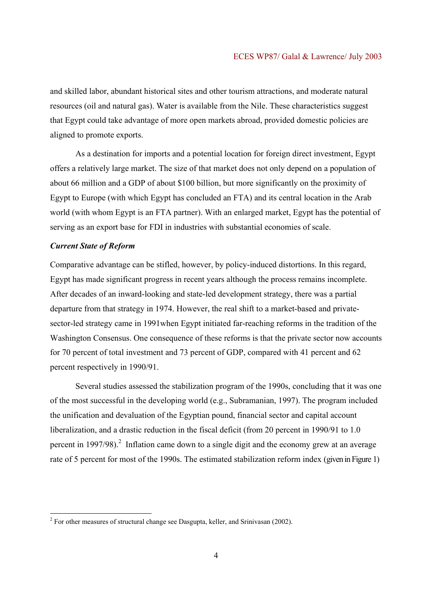and skilled labor, abundant historical sites and other tourism attractions, and moderate natural resources (oil and natural gas). Water is available from the Nile. These characteristics suggest that Egypt could take advantage of more open markets abroad, provided domestic policies are aligned to promote exports.

 As a destination for imports and a potential location for foreign direct investment, Egypt offers a relatively large market. The size of that market does not only depend on a population of about 66 million and a GDP of about \$100 billion, but more significantly on the proximity of Egypt to Europe (with which Egypt has concluded an FTA) and its central location in the Arab world (with whom Egypt is an FTA partner). With an enlarged market, Egypt has the potential of serving as an export base for FDI in industries with substantial economies of scale.

## *Current State of Reform*

Comparative advantage can be stifled, however, by policy-induced distortions. In this regard, Egypt has made significant progress in recent years although the process remains incomplete. After decades of an inward-looking and state-led development strategy, there was a partial departure from that strategy in 1974. However, the real shift to a market-based and privatesector-led strategy came in 1991when Egypt initiated far-reaching reforms in the tradition of the Washington Consensus. One consequence of these reforms is that the private sector now accounts for 70 percent of total investment and 73 percent of GDP, compared with 41 percent and 62 percent respectively in 1990/91.

Several studies assessed the stabilization program of the 1990s, concluding that it was one of the most successful in the developing world (e.g., Subramanian, 1997). The program included the unification and devaluation of the Egyptian pound, financial sector and capital account liberalization, and a drastic reduction in the fiscal deficit (from 20 percent in 1990/91 to 1.0 percent in 1997/98).<sup>2</sup> Inflation came down to a single digit and the economy grew at an average rate of 5 percent for most of the 1990s. The estimated stabilization reform index (given in Figure 1)

 $2^2$  For other measures of structural change see Dasgupta, keller, and Srinivasan (2002).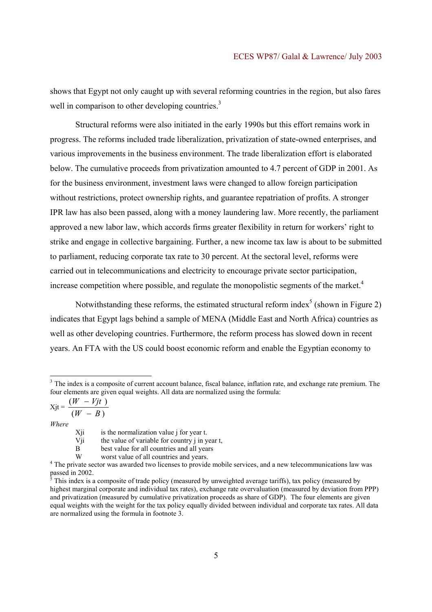shows that Egypt not only caught up with several reforming countries in the region, but also fares well in comparison to other developing countries.<sup>3</sup>

Structural reforms were also initiated in the early 1990s but this effort remains work in progress. The reforms included trade liberalization, privatization of state-owned enterprises, and various improvements in the business environment. The trade liberalization effort is elaborated below. The cumulative proceeds from privatization amounted to 4.7 percent of GDP in 2001. As for the business environment, investment laws were changed to allow foreign participation without restrictions, protect ownership rights, and guarantee repatriation of profits. A stronger IPR law has also been passed, along with a money laundering law. More recently, the parliament approved a new labor law, which accords firms greater flexibility in return for workers' right to strike and engage in collective bargaining. Further, a new income tax law is about to be submitted to parliament, reducing corporate tax rate to 30 percent. At the sectoral level, reforms were carried out in telecommunications and electricity to encourage private sector participation, increase competition where possible, and regulate the monopolistic segments of the market. $4$ 

Notwithstanding these reforms, the estimated structural reform index<sup>5</sup> (shown in Figure 2) indicates that Egypt lags behind a sample of MENA (Middle East and North Africa) countries as well as other developing countries. Furthermore, the reform process has slowed down in recent years. An FTA with the US could boost economic reform and enable the Egyptian economy to

 $Xjt = \frac{(N-f)^2}{(W-B)}$  $(W - Vjt)$  $W - B$  $W - Vjt$ − −

*Where* 

<sup>&</sup>lt;sup>3</sup> The index is a composite of current account balance, fiscal balance, inflation rate, and exchange rate premium. The four elements are given equal weights. All data are normalized using the formula:

Xji is the normalization value j for year t.

Vji the value of variable for country j in year  $t$ ,<br>B best value for all countries and all years

best value for all countries and all years

W worst value of all countries and years.<br><sup>4</sup> The private sector was awarded two licenses to provide mobile services, and a new telecommunications law was passed in 2002.<br><sup>5</sup> This index is a

This index is a composite of trade policy (measured by unweighted average tariffs), tax policy (measured by highest marginal corporate and individual tax rates), exchange rate overvaluation (measured by deviation from PPP) and privatization (measured by cumulative privatization proceeds as share of GDP). The four elements are given equal weights with the weight for the tax policy equally divided between individual and corporate tax rates. All data are normalized using the formula in footnote 3.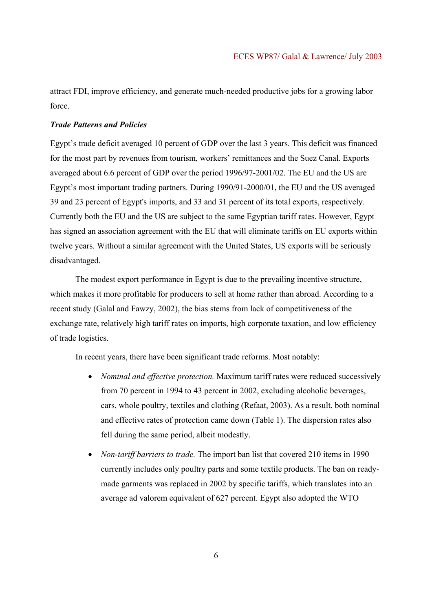attract FDI, improve efficiency, and generate much-needed productive jobs for a growing labor force.

### *Trade Patterns and Policies*

Egypt's trade deficit averaged 10 percent of GDP over the last 3 years. This deficit was financed for the most part by revenues from tourism, workers' remittances and the Suez Canal. Exports averaged about 6.6 percent of GDP over the period 1996/97-2001/02. The EU and the US are Egypt's most important trading partners. During 1990/91-2000/01, the EU and the US averaged 39 and 23 percent of Egypt's imports, and 33 and 31 percent of its total exports, respectively. Currently both the EU and the US are subject to the same Egyptian tariff rates. However, Egypt has signed an association agreement with the EU that will eliminate tariffs on EU exports within twelve years. Without a similar agreement with the United States, US exports will be seriously disadvantaged.

 The modest export performance in Egypt is due to the prevailing incentive structure, which makes it more profitable for producers to sell at home rather than abroad. According to a recent study (Galal and Fawzy, 2002), the bias stems from lack of competitiveness of the exchange rate, relatively high tariff rates on imports, high corporate taxation, and low efficiency of trade logistics.

In recent years, there have been significant trade reforms. Most notably:

- *Nominal and effective protection.* Maximum tariff rates were reduced successively from 70 percent in 1994 to 43 percent in 2002, excluding alcoholic beverages, cars, whole poultry, textiles and clothing (Refaat, 2003). As a result, both nominal and effective rates of protection came down (Table 1). The dispersion rates also fell during the same period, albeit modestly.
- *Non-tariff barriers to trade.* The import ban list that covered 210 items in 1990 currently includes only poultry parts and some textile products. The ban on readymade garments was replaced in 2002 by specific tariffs, which translates into an average ad valorem equivalent of 627 percent. Egypt also adopted the WTO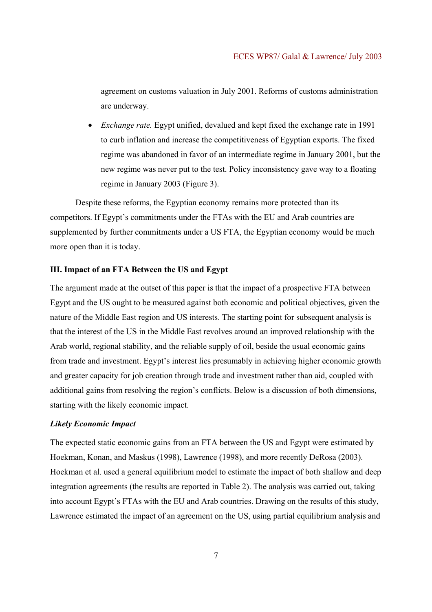agreement on customs valuation in July 2001. Reforms of customs administration are underway.

• *Exchange rate.* Egypt unified, devalued and kept fixed the exchange rate in 1991 to curb inflation and increase the competitiveness of Egyptian exports. The fixed regime was abandoned in favor of an intermediate regime in January 2001, but the new regime was never put to the test. Policy inconsistency gave way to a floating regime in January 2003 (Figure 3).

Despite these reforms, the Egyptian economy remains more protected than its competitors. If Egypt's commitments under the FTAs with the EU and Arab countries are supplemented by further commitments under a US FTA, the Egyptian economy would be much more open than it is today.

## **III. Impact of an FTA Between the US and Egypt**

The argument made at the outset of this paper is that the impact of a prospective FTA between Egypt and the US ought to be measured against both economic and political objectives, given the nature of the Middle East region and US interests. The starting point for subsequent analysis is that the interest of the US in the Middle East revolves around an improved relationship with the Arab world, regional stability, and the reliable supply of oil, beside the usual economic gains from trade and investment. Egypt's interest lies presumably in achieving higher economic growth and greater capacity for job creation through trade and investment rather than aid, coupled with additional gains from resolving the region's conflicts. Below is a discussion of both dimensions, starting with the likely economic impact.

#### *Likely Economic Impact*

The expected static economic gains from an FTA between the US and Egypt were estimated by Hoekman, Konan, and Maskus (1998), Lawrence (1998), and more recently DeRosa (2003). Hoekman et al. used a general equilibrium model to estimate the impact of both shallow and deep integration agreements (the results are reported in Table 2). The analysis was carried out, taking into account Egypt's FTAs with the EU and Arab countries. Drawing on the results of this study, Lawrence estimated the impact of an agreement on the US, using partial equilibrium analysis and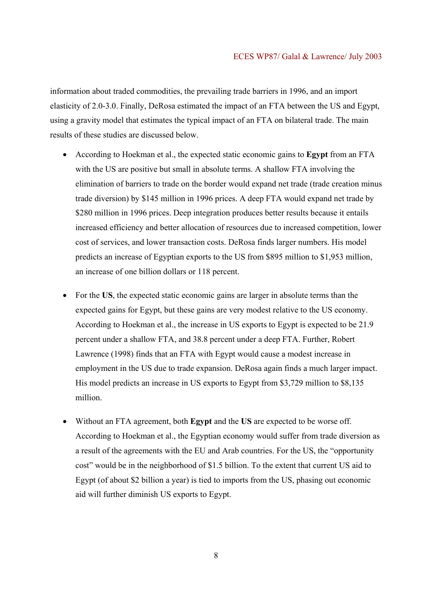information about traded commodities, the prevailing trade barriers in 1996, and an import elasticity of 2.0-3.0. Finally, DeRosa estimated the impact of an FTA between the US and Egypt, using a gravity model that estimates the typical impact of an FTA on bilateral trade. The main results of these studies are discussed below.

- According to Hoekman et al., the expected static economic gains to **Egypt** from an FTA with the US are positive but small in absolute terms. A shallow FTA involving the elimination of barriers to trade on the border would expand net trade (trade creation minus trade diversion) by \$145 million in 1996 prices. A deep FTA would expand net trade by \$280 million in 1996 prices. Deep integration produces better results because it entails increased efficiency and better allocation of resources due to increased competition, lower cost of services, and lower transaction costs. DeRosa finds larger numbers. His model predicts an increase of Egyptian exports to the US from \$895 million to \$1,953 million, an increase of one billion dollars or 118 percent.
- For the **US**, the expected static economic gains are larger in absolute terms than the expected gains for Egypt, but these gains are very modest relative to the US economy. According to Hoekman et al., the increase in US exports to Egypt is expected to be 21.9 percent under a shallow FTA, and 38.8 percent under a deep FTA. Further, Robert Lawrence (1998) finds that an FTA with Egypt would cause a modest increase in employment in the US due to trade expansion. DeRosa again finds a much larger impact. His model predicts an increase in US exports to Egypt from \$3,729 million to \$8,135 million.
- Without an FTA agreement, both **Egypt** and the **US** are expected to be worse off. According to Hoekman et al., the Egyptian economy would suffer from trade diversion as a result of the agreements with the EU and Arab countries. For the US, the "opportunity cost" would be in the neighborhood of \$1.5 billion. To the extent that current US aid to Egypt (of about \$2 billion a year) is tied to imports from the US, phasing out economic aid will further diminish US exports to Egypt.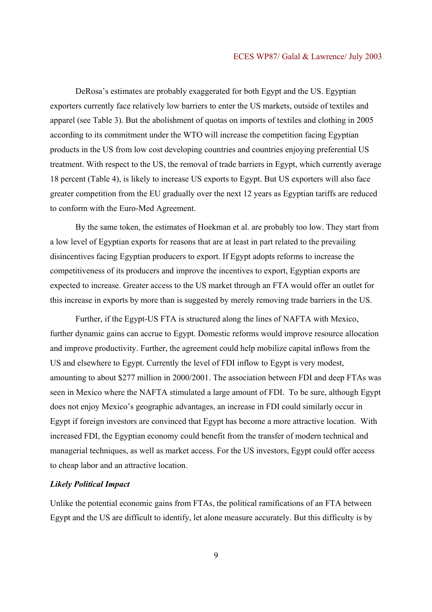DeRosa's estimates are probably exaggerated for both Egypt and the US. Egyptian exporters currently face relatively low barriers to enter the US markets, outside of textiles and apparel (see Table 3). But the abolishment of quotas on imports of textiles and clothing in 2005 according to its commitment under the WTO will increase the competition facing Egyptian products in the US from low cost developing countries and countries enjoying preferential US treatment. With respect to the US, the removal of trade barriers in Egypt, which currently average 18 percent (Table 4), is likely to increase US exports to Egypt. But US exporters will also face greater competition from the EU gradually over the next 12 years as Egyptian tariffs are reduced to conform with the Euro-Med Agreement.

By the same token, the estimates of Hoekman et al. are probably too low. They start from a low level of Egyptian exports for reasons that are at least in part related to the prevailing disincentives facing Egyptian producers to export. If Egypt adopts reforms to increase the competitiveness of its producers and improve the incentives to export, Egyptian exports are expected to increase. Greater access to the US market through an FTA would offer an outlet for this increase in exports by more than is suggested by merely removing trade barriers in the US.

Further, if the Egypt-US FTA is structured along the lines of NAFTA with Mexico, further dynamic gains can accrue to Egypt. Domestic reforms would improve resource allocation and improve productivity. Further, the agreement could help mobilize capital inflows from the US and elsewhere to Egypt. Currently the level of FDI inflow to Egypt is very modest, amounting to about \$277 million in 2000/2001. The association between FDI and deep FTAs was seen in Mexico where the NAFTA stimulated a large amount of FDI. To be sure, although Egypt does not enjoy Mexico's geographic advantages, an increase in FDI could similarly occur in Egypt if foreign investors are convinced that Egypt has become a more attractive location. With increased FDI, the Egyptian economy could benefit from the transfer of modern technical and managerial techniques, as well as market access. For the US investors, Egypt could offer access to cheap labor and an attractive location.

## *Likely Political Impact*

Unlike the potential economic gains from FTAs, the political ramifications of an FTA between Egypt and the US are difficult to identify, let alone measure accurately. But this difficulty is by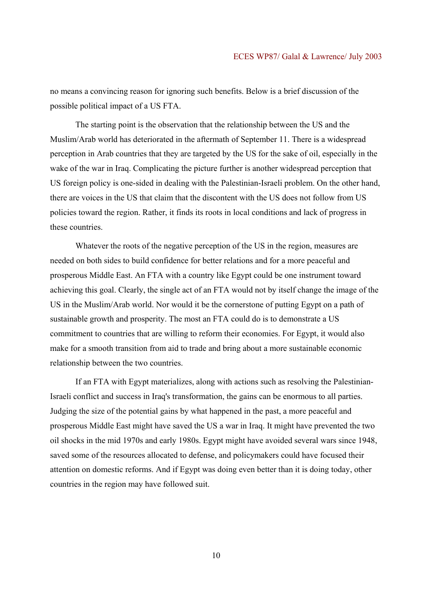no means a convincing reason for ignoring such benefits. Below is a brief discussion of the possible political impact of a US FTA.

The starting point is the observation that the relationship between the US and the Muslim/Arab world has deteriorated in the aftermath of September 11. There is a widespread perception in Arab countries that they are targeted by the US for the sake of oil, especially in the wake of the war in Iraq. Complicating the picture further is another widespread perception that US foreign policy is one-sided in dealing with the Palestinian-Israeli problem. On the other hand, there are voices in the US that claim that the discontent with the US does not follow from US policies toward the region. Rather, it finds its roots in local conditions and lack of progress in these countries.

Whatever the roots of the negative perception of the US in the region, measures are needed on both sides to build confidence for better relations and for a more peaceful and prosperous Middle East. An FTA with a country like Egypt could be one instrument toward achieving this goal. Clearly, the single act of an FTA would not by itself change the image of the US in the Muslim/Arab world. Nor would it be the cornerstone of putting Egypt on a path of sustainable growth and prosperity. The most an FTA could do is to demonstrate a US commitment to countries that are willing to reform their economies. For Egypt, it would also make for a smooth transition from aid to trade and bring about a more sustainable economic relationship between the two countries.

If an FTA with Egypt materializes, along with actions such as resolving the Palestinian-Israeli conflict and success in Iraq's transformation, the gains can be enormous to all parties. Judging the size of the potential gains by what happened in the past, a more peaceful and prosperous Middle East might have saved the US a war in Iraq. It might have prevented the two oil shocks in the mid 1970s and early 1980s. Egypt might have avoided several wars since 1948, saved some of the resources allocated to defense, and policymakers could have focused their attention on domestic reforms. And if Egypt was doing even better than it is doing today, other countries in the region may have followed suit.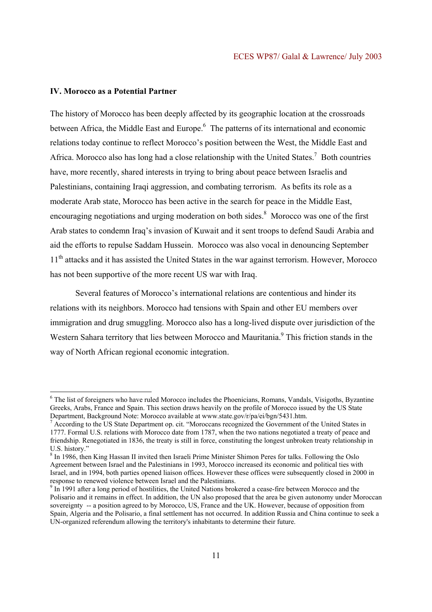## **IV. Morocco as a Potential Partner**

l

The history of Morocco has been deeply affected by its geographic location at the crossroads between Africa, the Middle East and Europe.<sup>6</sup> The patterns of its international and economic relations today continue to reflect Morocco's position between the West, the Middle East and Africa. Morocco also has long had a close relationship with the United States.<sup>7</sup> Both countries have, more recently, shared interests in trying to bring about peace between Israelis and Palestinians, containing Iraqi aggression, and combating terrorism. As befits its role as a moderate Arab state, Morocco has been active in the search for peace in the Middle East, encouraging negotiations and urging moderation on both sides.<sup>8</sup> Morocco was one of the first Arab states to condemn Iraq's invasion of Kuwait and it sent troops to defend Saudi Arabia and aid the efforts to repulse Saddam Hussein. Morocco was also vocal in denouncing September 11<sup>th</sup> attacks and it has assisted the United States in the war against terrorism. However, Morocco has not been supportive of the more recent US war with Iraq.

Several features of Morocco's international relations are contentious and hinder its relations with its neighbors. Morocco had tensions with Spain and other EU members over immigration and drug smuggling. Morocco also has a long-lived dispute over jurisdiction of the Western Sahara territory that lies between Morocco and Mauritania.<sup>9</sup> This friction stands in the way of North African regional economic integration.

<sup>&</sup>lt;sup>6</sup> The list of foreigners who have ruled Morocco includes the Phoenicians, Romans, Vandals, Visigoths, Byzantine Greeks, Arabs, France and Spain. This section draws heavily on the profile of Morocco issued by the US State Department, Background Note: Morocco available at www.state.gov/r/pa/ei/bgn/5431.htm.

<sup>&</sup>lt;sup>7</sup> According to the US State Department op. cit. "Moroccans recognized the Government of the United States in 1777. Formal U.S. relations with Morocco date from 1787, when the two nations negotiated a treaty of peace and friendship. Renegotiated in 1836, the treaty is still in force, constituting the longest unbroken treaty relationship in U.S. history."

<sup>&</sup>lt;sup>8</sup> In 1986, then King Hassan II invited then Israeli Prime Minister Shimon Peres for talks. Following the Oslo Agreement between Israel and the Palestinians in 1993, Morocco increased its economic and political ties with Israel, and in 1994, both parties opened liaison offices. However these offices were subsequently closed in 2000 in response to renewed violence between Israel and the Palestinians.

 $9 \text{ In } 1991$  after a long period of hostilities, the United Nations brokered a cease-fire between Morocco and the Polisario and it remains in effect. In addition, the UN also proposed that the area be given autonomy under Moroccan sovereignty -- a position agreed to by Morocco, US, France and the UK. However, because of opposition from Spain, Algeria and the Polisario, a final settlement has not occurred. In addition Russia and China continue to seek a UN-organized referendum allowing the territory's inhabitants to determine their future.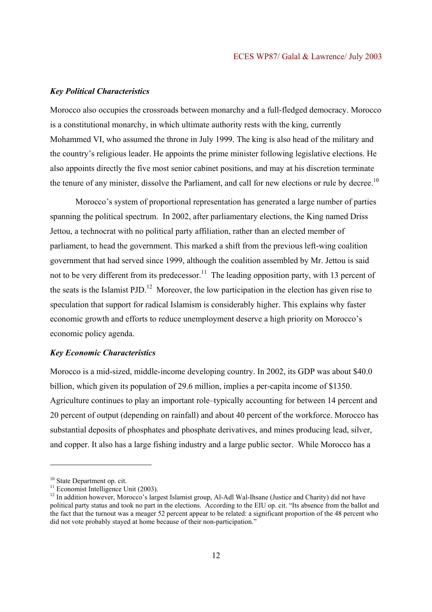## *Key Political Characteristics*

Morocco also occupies the crossroads between monarchy and a full-fledged democracy. Morocco is a constitutional monarchy, in which ultimate authority rests with the king, currently Mohammed VI, who assumed the throne in July 1999. The king is also head of the military and the country's religious leader. He appoints the prime minister following legislative elections. He also appoints directly the five most senior cabinet positions, and may at his discretion terminate the tenure of any minister, dissolve the Parliament, and call for new elections or rule by decree.<sup>10</sup>

 Morocco's system of proportional representation has generated a large number of parties spanning the political spectrum. In 2002, after parliamentary elections, the King named Driss Jettou, a technocrat with no political party affiliation, rather than an elected member of parliament, to head the government. This marked a shift from the previous left-wing coalition government that had served since 1999, although the coalition assembled by Mr. Jettou is said not to be very different from its predecessor.<sup>11</sup> The leading opposition party, with 13 percent of the seats is the Islamist PJD.<sup>12</sup> Moreover, the low participation in the election has given rise to speculation that support for radical Islamism is considerably higher. This explains why faster economic growth and efforts to reduce unemployment deserve a high priority on Morocco's economic policy agenda.

#### *Key Economic Characteristics*

Morocco is a mid-sized, middle-income developing country. In 2002, its GDP was about \$40.0 billion, which given its population of 29.6 million, implies a per-capita income of \$1350. Agriculture continues to play an important role–typically accounting for between 14 percent and 20 percent of output (depending on rainfall) and about 40 percent of the workforce. Morocco has substantial deposits of phosphates and phosphate derivatives, and mines producing lead, silver, and copper. It also has a large fishing industry and a large public sector. While Morocco has a

<sup>&</sup>lt;sup>10</sup> State Department op. cit.

 $11$  Economist Intelligence Unit (2003).

<sup>&</sup>lt;sup>12</sup> In addition however, Morocco's largest Islamist group, Al-Adl Wal-Ihsane (Justice and Charity) did not have political party status and took no part in the elections. According to the EIU op. cit. "Its absence from the ballot and the fact that the turnout was a meager 52 percent appear to be related: a significant proportion of the 48 percent who did not vote probably stayed at home because of their non-participation."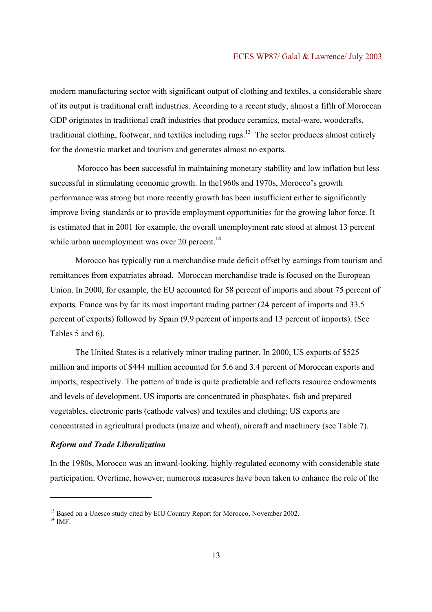modern manufacturing sector with significant output of clothing and textiles, a considerable share of its output is traditional craft industries. According to a recent study, almost a fifth of Moroccan GDP originates in traditional craft industries that produce ceramics, metal-ware, woodcrafts, traditional clothing, footwear, and textiles including rugs. $13$  The sector produces almost entirely for the domestic market and tourism and generates almost no exports.

 Morocco has been successful in maintaining monetary stability and low inflation but less successful in stimulating economic growth. In the1960s and 1970s, Morocco's growth performance was strong but more recently growth has been insufficient either to significantly improve living standards or to provide employment opportunities for the growing labor force. It is estimated that in 2001 for example, the overall unemployment rate stood at almost 13 percent while urban unemployment was over 20 percent.<sup>14</sup>

 Morocco has typically run a merchandise trade deficit offset by earnings from tourism and remittances from expatriates abroad. Moroccan merchandise trade is focused on the European Union. In 2000, for example, the EU accounted for 58 percent of imports and about 75 percent of exports. France was by far its most important trading partner (24 percent of imports and 33.5 percent of exports) followed by Spain (9.9 percent of imports and 13 percent of imports). (See Tables 5 and 6).

The United States is a relatively minor trading partner. In 2000, US exports of \$525 million and imports of \$444 million accounted for 5.6 and 3.4 percent of Moroccan exports and imports, respectively. The pattern of trade is quite predictable and reflects resource endowments and levels of development. US imports are concentrated in phosphates, fish and prepared vegetables, electronic parts (cathode valves) and textiles and clothing; US exports are concentrated in agricultural products (maize and wheat), aircraft and machinery (see Table 7).

## *Reform and Trade Liberalization*

In the 1980s, Morocco was an inward-looking, highly-regulated economy with considerable state participation. Overtime, however, numerous measures have been taken to enhance the role of the

<sup>&</sup>lt;sup>13</sup> Based on a Unesco study cited by EIU Country Report for Morocco, November 2002.

 $14$  IMF.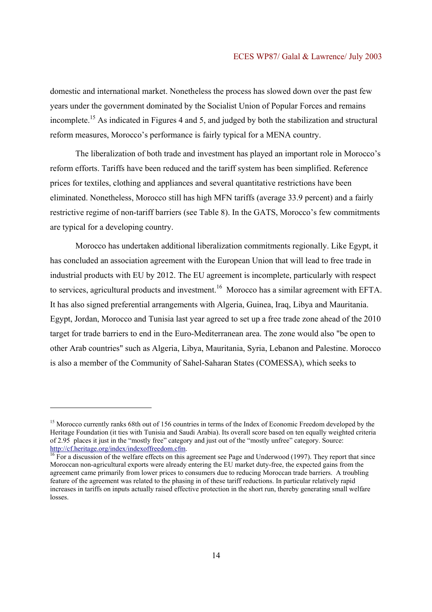domestic and international market. Nonetheless the process has slowed down over the past few years under the government dominated by the Socialist Union of Popular Forces and remains incomplete.15 As indicated in Figures 4 and 5, and judged by both the stabilization and structural reform measures, Morocco's performance is fairly typical for a MENA country.

 The liberalization of both trade and investment has played an important role in Morocco's reform efforts. Tariffs have been reduced and the tariff system has been simplified. Reference prices for textiles, clothing and appliances and several quantitative restrictions have been eliminated. Nonetheless, Morocco still has high MFN tariffs (average 33.9 percent) and a fairly restrictive regime of non-tariff barriers (see Table 8). In the GATS, Morocco's few commitments are typical for a developing country.

Morocco has undertaken additional liberalization commitments regionally. Like Egypt, it has concluded an association agreement with the European Union that will lead to free trade in industrial products with EU by 2012. The EU agreement is incomplete, particularly with respect to services, agricultural products and investment.<sup>16</sup> Morocco has a similar agreement with EFTA. It has also signed preferential arrangements with Algeria, Guinea, Iraq, Libya and Mauritania. Egypt, Jordan, Morocco and Tunisia last year agreed to set up a free trade zone ahead of the 2010 target for trade barriers to end in the Euro-Mediterranean area. The zone would also "be open to other Arab countries" such as Algeria, Libya, Mauritania, Syria, Lebanon and Palestine. Morocco is also a member of the Community of Sahel-Saharan States (COMESSA), which seeks to

<sup>&</sup>lt;sup>15</sup> Morocco currently ranks 68th out of 156 countries in terms of the Index of Economic Freedom developed by the Heritage Foundation (it ties with Tunisia and Saudi Arabia). Its overall score based on ten equally weighted criteria of 2.95 places it just in the "mostly free" category and just out of the "mostly unfree" category. Source:<br>http://cf.heritage.org/index/indexoffreedom.cfm.

 $\frac{16}{16}$  For a discussion of the welfare effects on this agreement see Page and Underwood (1997). They report that since Moroccan non-agricultural exports were already entering the EU market duty-free, the expected gains from the agreement came primarily from lower prices to consumers due to reducing Moroccan trade barriers. A troubling feature of the agreement was related to the phasing in of these tariff reductions. In particular relatively rapid increases in tariffs on inputs actually raised effective protection in the short run, thereby generating small welfare losses.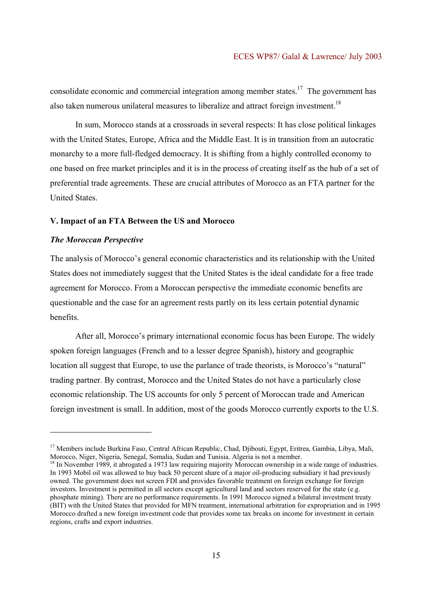consolidate economic and commercial integration among member states.<sup>17</sup> The government has also taken numerous unilateral measures to liberalize and attract foreign investment.<sup>18</sup>

In sum, Morocco stands at a crossroads in several respects: It has close political linkages with the United States, Europe, Africa and the Middle East. It is in transition from an autocratic monarchy to a more full-fledged democracy. It is shifting from a highly controlled economy to one based on free market principles and it is in the process of creating itself as the hub of a set of preferential trade agreements. These are crucial attributes of Morocco as an FTA partner for the United States.

#### **V. Impact of an FTA Between the US and Morocco**

## *The Moroccan Perspective*

l

The analysis of Morocco's general economic characteristics and its relationship with the United States does not immediately suggest that the United States is the ideal candidate for a free trade agreement for Morocco. From a Moroccan perspective the immediate economic benefits are questionable and the case for an agreement rests partly on its less certain potential dynamic benefits.

After all, Morocco's primary international economic focus has been Europe. The widely spoken foreign languages (French and to a lesser degree Spanish), history and geographic location all suggest that Europe, to use the parlance of trade theorists, is Morocco's "natural" trading partner. By contrast, Morocco and the United States do not have a particularly close economic relationship. The US accounts for only 5 percent of Moroccan trade and American foreign investment is small. In addition, most of the goods Morocco currently exports to the U.S.

<sup>&</sup>lt;sup>17</sup> Members include Burkina Faso, Central African Republic, Chad, Djibouti, Egypt, Eritrea, Gambia, Libya, Mali, Morocco, Niger, Nigeria, Senegal, Somalia, Sudan and Tunisia. Algeria is not a member.

<sup>&</sup>lt;sup>18</sup> In November 1989, it abrogated a 1973 law requiring majority Moroccan ownership in a wide range of industries. In 1993 Mobil oil was allowed to buy back 50 percent share of a major oil-producing subsidiary it had previously owned. The government does not screen FDI and provides favorable treatment on foreign exchange for foreign investors. Investment is permitted in all sectors except agricultural land and sectors reserved for the state (e.g. phosphate mining). There are no performance requirements. In 1991 Morocco signed a bilateral investment treaty (BIT) with the United States that provided for MFN treatment, international arbitration for expropriation and in 1995 Morocco drafted a new foreign investment code that provides some tax breaks on income for investment in certain regions, crafts and export industries.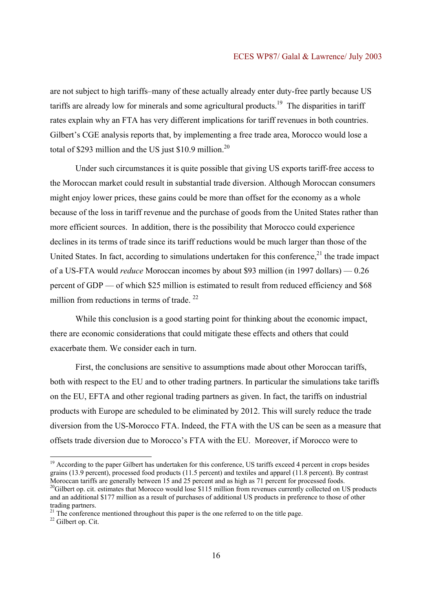are not subject to high tariffs–many of these actually already enter duty-free partly because US tariffs are already low for minerals and some agricultural products.<sup>19</sup> The disparities in tariff rates explain why an FTA has very different implications for tariff revenues in both countries. Gilbert's CGE analysis reports that, by implementing a free trade area, Morocco would lose a total of \$293 million and the US just \$10.9 million.<sup>20</sup>

Under such circumstances it is quite possible that giving US exports tariff-free access to the Moroccan market could result in substantial trade diversion. Although Moroccan consumers might enjoy lower prices, these gains could be more than offset for the economy as a whole because of the loss in tariff revenue and the purchase of goods from the United States rather than more efficient sources. In addition, there is the possibility that Morocco could experience declines in its terms of trade since its tariff reductions would be much larger than those of the United States. In fact, according to simulations undertaken for this conference,<sup>21</sup> the trade impact of a US-FTA would *reduce* Moroccan incomes by about \$93 million (in 1997 dollars) — 0.26 percent of GDP — of which \$25 million is estimated to result from reduced efficiency and \$68 million from reductions in terms of trade.  $22$ 

While this conclusion is a good starting point for thinking about the economic impact, there are economic considerations that could mitigate these effects and others that could exacerbate them. We consider each in turn.

First, the conclusions are sensitive to assumptions made about other Moroccan tariffs, both with respect to the EU and to other trading partners. In particular the simulations take tariffs on the EU, EFTA and other regional trading partners as given. In fact, the tariffs on industrial products with Europe are scheduled to be eliminated by 2012. This will surely reduce the trade diversion from the US-Morocco FTA. Indeed, the FTA with the US can be seen as a measure that offsets trade diversion due to Morocco's FTA with the EU. Moreover, if Morocco were to

<sup>&</sup>lt;sup>19</sup> According to the paper Gilbert has undertaken for this conference, US tariffs exceed 4 percent in crops besides grains (13.9 percent), processed food products (11.5 percent) and textiles and apparel (11.8 percent). By contrast Moroccan tariffs are generally between 15 and 25 percent and as high as 71 percent for processed foods. <sup>20</sup>Gilbert op. cit. estimates that Morocco would lose \$115 million from revenues currently collected on US products and an additional \$177 million as a result of purchases of additional US products in preference to those of other trading partners.

 $21$  The conference mentioned throughout this paper is the one referred to on the title page.

<sup>22</sup> Gilbert op. Cit.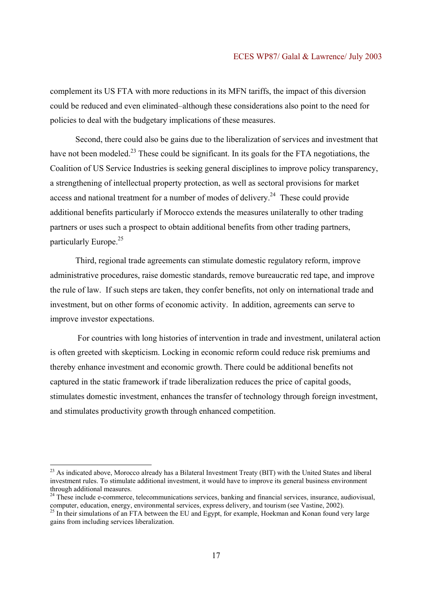complement its US FTA with more reductions in its MFN tariffs, the impact of this diversion could be reduced and even eliminated–although these considerations also point to the need for policies to deal with the budgetary implications of these measures.

Second, there could also be gains due to the liberalization of services and investment that have not been modeled.<sup>23</sup> These could be significant. In its goals for the FTA negotiations, the Coalition of US Service Industries is seeking general disciplines to improve policy transparency, a strengthening of intellectual property protection, as well as sectoral provisions for market access and national treatment for a number of modes of delivery.<sup>24</sup> These could provide additional benefits particularly if Morocco extends the measures unilaterally to other trading partners or uses such a prospect to obtain additional benefits from other trading partners, particularly Europe.<sup>25</sup>

Third, regional trade agreements can stimulate domestic regulatory reform, improve administrative procedures, raise domestic standards, remove bureaucratic red tape, and improve the rule of law. If such steps are taken, they confer benefits, not only on international trade and investment, but on other forms of economic activity. In addition, agreements can serve to improve investor expectations.

 For countries with long histories of intervention in trade and investment, unilateral action is often greeted with skepticism. Locking in economic reform could reduce risk premiums and thereby enhance investment and economic growth. There could be additional benefits not captured in the static framework if trade liberalization reduces the price of capital goods, stimulates domestic investment, enhances the transfer of technology through foreign investment, and stimulates productivity growth through enhanced competition.

<sup>&</sup>lt;sup>23</sup> As indicated above, Morocco already has a Bilateral Investment Treaty (BIT) with the United States and liberal investment rules. To stimulate additional investment, it would have to improve its general business environment through additional measures.

 $24$  These include e-commerce, telecommunications services, banking and financial services, insurance, audiovisual, computer, education, energy, environmental services, express delivery, and tourism (see Vastine, 2002).

<sup>&</sup>lt;sup>25</sup> In their simulations of an FTA between the EU and Egypt, for example, Hoekman and Konan found very large gains from including services liberalization.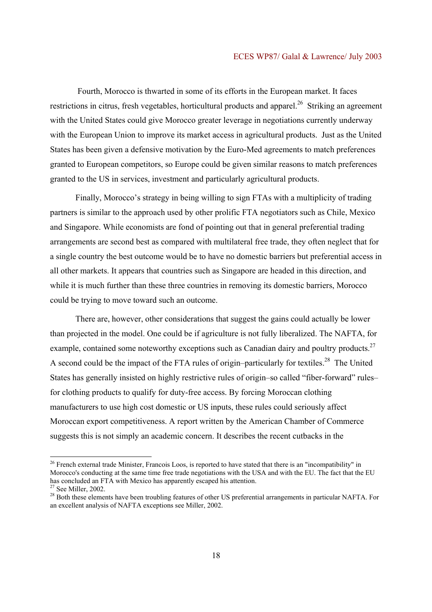Fourth, Morocco is thwarted in some of its efforts in the European market. It faces restrictions in citrus, fresh vegetables, horticultural products and apparel.<sup>26</sup> Striking an agreement with the United States could give Morocco greater leverage in negotiations currently underway with the European Union to improve its market access in agricultural products. Just as the United States has been given a defensive motivation by the Euro-Med agreements to match preferences granted to European competitors, so Europe could be given similar reasons to match preferences granted to the US in services, investment and particularly agricultural products.

Finally, Morocco's strategy in being willing to sign FTAs with a multiplicity of trading partners is similar to the approach used by other prolific FTA negotiators such as Chile, Mexico and Singapore. While economists are fond of pointing out that in general preferential trading arrangements are second best as compared with multilateral free trade, they often neglect that for a single country the best outcome would be to have no domestic barriers but preferential access in all other markets. It appears that countries such as Singapore are headed in this direction, and while it is much further than these three countries in removing its domestic barriers, Morocco could be trying to move toward such an outcome.

There are, however, other considerations that suggest the gains could actually be lower than projected in the model. One could be if agriculture is not fully liberalized. The NAFTA, for example, contained some noteworthy exceptions such as Canadian dairy and poultry products.<sup>27</sup> A second could be the impact of the FTA rules of origin–particularly for textiles.<sup>28</sup> The United States has generally insisted on highly restrictive rules of origin–so called "fiber-forward" rules– for clothing products to qualify for duty-free access. By forcing Moroccan clothing manufacturers to use high cost domestic or US inputs, these rules could seriously affect Moroccan export competitiveness. A report written by the American Chamber of Commerce suggests this is not simply an academic concern. It describes the recent cutbacks in the

<sup>&</sup>lt;sup>26</sup> French external trade Minister, Francois Loos, is reported to have stated that there is an "incompatibility" in Morocco's conducting at the same time free trade negotiations with the USA and with the EU. The fact that the EU has concluded an FTA with Mexico has apparently escaped his attention.

 $27$  See Miller, 2002.

<sup>&</sup>lt;sup>28</sup> Both these elements have been troubling features of other US preferential arrangements in particular NAFTA. For an excellent analysis of NAFTA exceptions see Miller, 2002.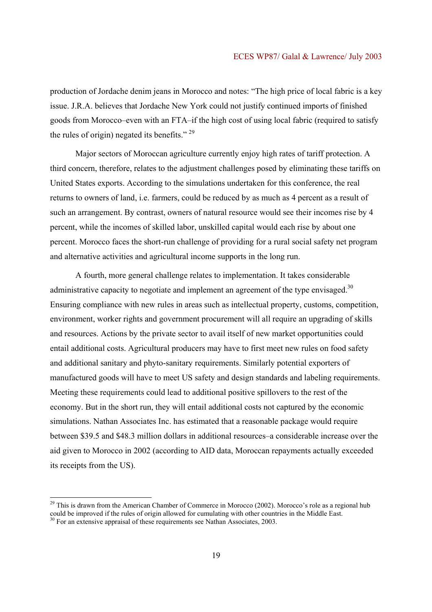#### ECES WP87/ Galal & Lawrence/ July 2003

production of Jordache denim jeans in Morocco and notes: "The high price of local fabric is a key issue. J.R.A. believes that Jordache New York could not justify continued imports of finished goods from Morocco–even with an FTA–if the high cost of using local fabric (required to satisfy the rules of origin) negated its benefits."<sup>29</sup>

Major sectors of Moroccan agriculture currently enjoy high rates of tariff protection. A third concern, therefore, relates to the adjustment challenges posed by eliminating these tariffs on United States exports. According to the simulations undertaken for this conference, the real returns to owners of land, i.e. farmers, could be reduced by as much as 4 percent as a result of such an arrangement. By contrast, owners of natural resource would see their incomes rise by 4 percent, while the incomes of skilled labor, unskilled capital would each rise by about one percent. Morocco faces the short-run challenge of providing for a rural social safety net program and alternative activities and agricultural income supports in the long run.

A fourth, more general challenge relates to implementation. It takes considerable administrative capacity to negotiate and implement an agreement of the type envisaged.<sup>30</sup> Ensuring compliance with new rules in areas such as intellectual property, customs, competition, environment, worker rights and government procurement will all require an upgrading of skills and resources. Actions by the private sector to avail itself of new market opportunities could entail additional costs. Agricultural producers may have to first meet new rules on food safety and additional sanitary and phyto-sanitary requirements. Similarly potential exporters of manufactured goods will have to meet US safety and design standards and labeling requirements. Meeting these requirements could lead to additional positive spillovers to the rest of the economy. But in the short run, they will entail additional costs not captured by the economic simulations. Nathan Associates Inc. has estimated that a reasonable package would require between \$39.5 and \$48.3 million dollars in additional resources–a considerable increase over the aid given to Morocco in 2002 (according to AID data, Moroccan repayments actually exceeded its receipts from the US).

 $^{29}$  This is drawn from the American Chamber of Commerce in Morocco (2002). Morocco's role as a regional hub could be improved if the rules of origin allowed for cumulating with other countries in the Middle East. <sup>30</sup> For an extensive appraisal of these requirements see Nathan Associates, 2003.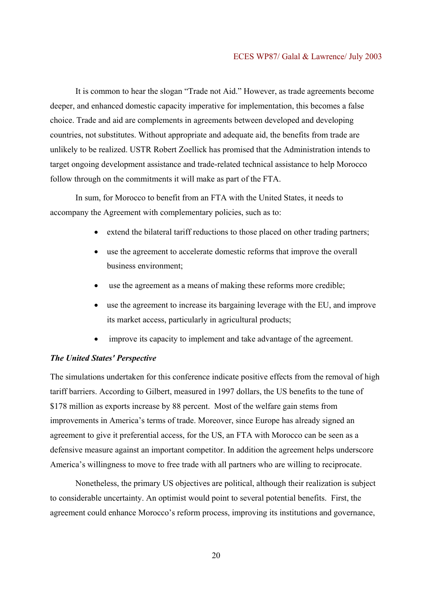It is common to hear the slogan "Trade not Aid." However, as trade agreements become deeper, and enhanced domestic capacity imperative for implementation, this becomes a false choice. Trade and aid are complements in agreements between developed and developing countries, not substitutes. Without appropriate and adequate aid, the benefits from trade are unlikely to be realized. USTR Robert Zoellick has promised that the Administration intends to target ongoing development assistance and trade-related technical assistance to help Morocco follow through on the commitments it will make as part of the FTA.

In sum, for Morocco to benefit from an FTA with the United States, it needs to accompany the Agreement with complementary policies, such as to:

- extend the bilateral tariff reductions to those placed on other trading partners;
- use the agreement to accelerate domestic reforms that improve the overall business environment;
- use the agreement as a means of making these reforms more credible;
- use the agreement to increase its bargaining leverage with the EU, and improve its market access, particularly in agricultural products;
- improve its capacity to implement and take advantage of the agreement.

## *The United States' Perspective*

The simulations undertaken for this conference indicate positive effects from the removal of high tariff barriers. According to Gilbert, measured in 1997 dollars, the US benefits to the tune of \$178 million as exports increase by 88 percent. Most of the welfare gain stems from improvements in America's terms of trade. Moreover, since Europe has already signed an agreement to give it preferential access, for the US, an FTA with Morocco can be seen as a defensive measure against an important competitor. In addition the agreement helps underscore America's willingness to move to free trade with all partners who are willing to reciprocate.

Nonetheless, the primary US objectives are political, although their realization is subject to considerable uncertainty. An optimist would point to several potential benefits. First, the agreement could enhance Morocco's reform process, improving its institutions and governance,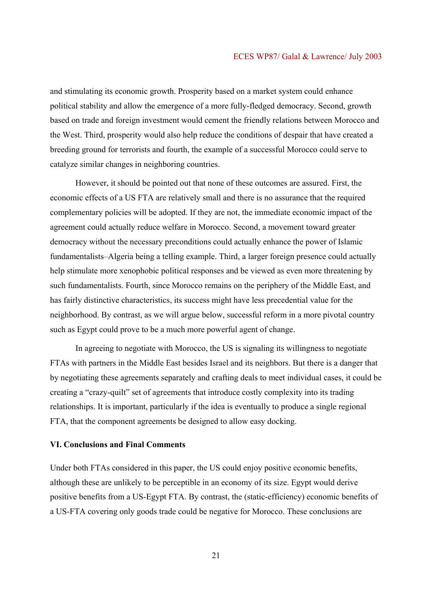#### ECES WP87/ Galal & Lawrence/ July 2003

and stimulating its economic growth. Prosperity based on a market system could enhance political stability and allow the emergence of a more fully-fledged democracy. Second, growth based on trade and foreign investment would cement the friendly relations between Morocco and the West. Third, prosperity would also help reduce the conditions of despair that have created a breeding ground for terrorists and fourth, the example of a successful Morocco could serve to catalyze similar changes in neighboring countries.

However, it should be pointed out that none of these outcomes are assured. First, the economic effects of a US FTA are relatively small and there is no assurance that the required complementary policies will be adopted. If they are not, the immediate economic impact of the agreement could actually reduce welfare in Morocco. Second, a movement toward greater democracy without the necessary preconditions could actually enhance the power of Islamic fundamentalists–Algeria being a telling example. Third, a larger foreign presence could actually help stimulate more xenophobic political responses and be viewed as even more threatening by such fundamentalists. Fourth, since Morocco remains on the periphery of the Middle East, and has fairly distinctive characteristics, its success might have less precedential value for the neighborhood. By contrast, as we will argue below, successful reform in a more pivotal country such as Egypt could prove to be a much more powerful agent of change.

In agreeing to negotiate with Morocco, the US is signaling its willingness to negotiate FTAs with partners in the Middle East besides Israel and its neighbors. But there is a danger that by negotiating these agreements separately and crafting deals to meet individual cases, it could be creating a "crazy-quilt" set of agreements that introduce costly complexity into its trading relationships. It is important, particularly if the idea is eventually to produce a single regional FTA, that the component agreements be designed to allow easy docking.

## **VI. Conclusions and Final Comments**

Under both FTAs considered in this paper, the US could enjoy positive economic benefits, although these are unlikely to be perceptible in an economy of its size. Egypt would derive positive benefits from a US-Egypt FTA. By contrast, the (static-efficiency) economic benefits of a US-FTA covering only goods trade could be negative for Morocco. These conclusions are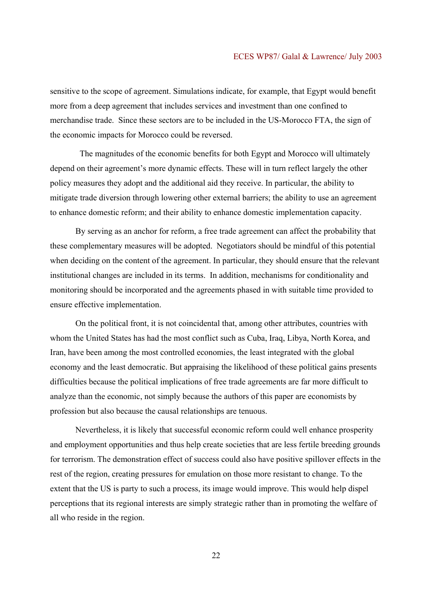sensitive to the scope of agreement. Simulations indicate, for example, that Egypt would benefit more from a deep agreement that includes services and investment than one confined to merchandise trade. Since these sectors are to be included in the US-Morocco FTA, the sign of the economic impacts for Morocco could be reversed.

 The magnitudes of the economic benefits for both Egypt and Morocco will ultimately depend on their agreement's more dynamic effects. These will in turn reflect largely the other policy measures they adopt and the additional aid they receive. In particular, the ability to mitigate trade diversion through lowering other external barriers; the ability to use an agreement to enhance domestic reform; and their ability to enhance domestic implementation capacity.

By serving as an anchor for reform, a free trade agreement can affect the probability that these complementary measures will be adopted. Negotiators should be mindful of this potential when deciding on the content of the agreement. In particular, they should ensure that the relevant institutional changes are included in its terms. In addition, mechanisms for conditionality and monitoring should be incorporated and the agreements phased in with suitable time provided to ensure effective implementation.

On the political front, it is not coincidental that, among other attributes, countries with whom the United States has had the most conflict such as Cuba, Iraq, Libya, North Korea, and Iran, have been among the most controlled economies, the least integrated with the global economy and the least democratic. But appraising the likelihood of these political gains presents difficulties because the political implications of free trade agreements are far more difficult to analyze than the economic, not simply because the authors of this paper are economists by profession but also because the causal relationships are tenuous.

Nevertheless, it is likely that successful economic reform could well enhance prosperity and employment opportunities and thus help create societies that are less fertile breeding grounds for terrorism. The demonstration effect of success could also have positive spillover effects in the rest of the region, creating pressures for emulation on those more resistant to change. To the extent that the US is party to such a process, its image would improve. This would help dispel perceptions that its regional interests are simply strategic rather than in promoting the welfare of all who reside in the region.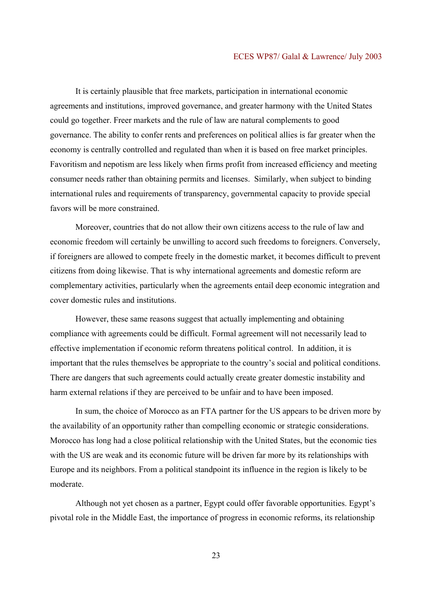It is certainly plausible that free markets, participation in international economic agreements and institutions, improved governance, and greater harmony with the United States could go together. Freer markets and the rule of law are natural complements to good governance. The ability to confer rents and preferences on political allies is far greater when the economy is centrally controlled and regulated than when it is based on free market principles. Favoritism and nepotism are less likely when firms profit from increased efficiency and meeting consumer needs rather than obtaining permits and licenses. Similarly, when subject to binding international rules and requirements of transparency, governmental capacity to provide special favors will be more constrained.

 Moreover, countries that do not allow their own citizens access to the rule of law and economic freedom will certainly be unwilling to accord such freedoms to foreigners. Conversely, if foreigners are allowed to compete freely in the domestic market, it becomes difficult to prevent citizens from doing likewise. That is why international agreements and domestic reform are complementary activities, particularly when the agreements entail deep economic integration and cover domestic rules and institutions.

However, these same reasons suggest that actually implementing and obtaining compliance with agreements could be difficult. Formal agreement will not necessarily lead to effective implementation if economic reform threatens political control. In addition, it is important that the rules themselves be appropriate to the country's social and political conditions. There are dangers that such agreements could actually create greater domestic instability and harm external relations if they are perceived to be unfair and to have been imposed.

In sum, the choice of Morocco as an FTA partner for the US appears to be driven more by the availability of an opportunity rather than compelling economic or strategic considerations. Morocco has long had a close political relationship with the United States, but the economic ties with the US are weak and its economic future will be driven far more by its relationships with Europe and its neighbors. From a political standpoint its influence in the region is likely to be moderate.

Although not yet chosen as a partner, Egypt could offer favorable opportunities. Egypt's pivotal role in the Middle East, the importance of progress in economic reforms, its relationship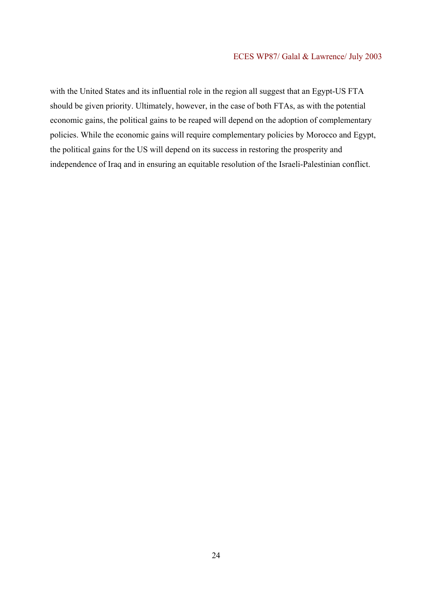with the United States and its influential role in the region all suggest that an Egypt-US FTA should be given priority. Ultimately, however, in the case of both FTAs, as with the potential economic gains, the political gains to be reaped will depend on the adoption of complementary policies. While the economic gains will require complementary policies by Morocco and Egypt, the political gains for the US will depend on its success in restoring the prosperity and independence of Iraq and in ensuring an equitable resolution of the Israeli-Palestinian conflict.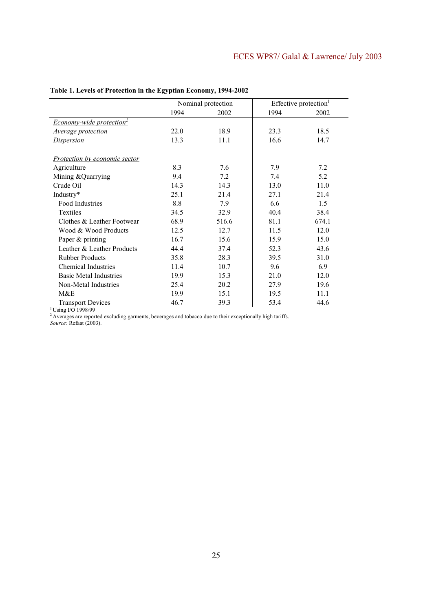|                                | Nominal protection |       |      | Effective protection <sup>1</sup> |
|--------------------------------|--------------------|-------|------|-----------------------------------|
|                                | 1994               | 2002  | 1994 | 2002                              |
| <b>Economy-wide protection</b> |                    |       |      |                                   |
| Average protection             | 22.0               | 18.9  | 23.3 | 18.5                              |
| Dispersion                     | 13.3               | 11.1  | 16.6 | 14.7                              |
| Protection by economic sector  |                    |       |      |                                   |
| Agriculture                    | 8.3                | 7.6   | 7.9  | 7.2                               |
| Mining & Quarrying             | 9.4                | 7.2   | 7.4  | 5.2                               |
| Crude Oil                      | 14.3               | 14.3  | 13.0 | 11.0                              |
| Industry*                      | 25.1               | 21.4  | 27.1 | 21.4                              |
| Food Industries                | 8.8                | 7.9   | 6.6  | 1.5                               |
| Textiles                       | 34.5               | 32.9  | 40.4 | 38.4                              |
| Clothes & Leather Footwear     | 68.9               | 516.6 | 81.1 | 674.1                             |
| Wood & Wood Products           | 12.5               | 12.7  | 11.5 | 12.0                              |
| Paper & printing               | 16.7               | 15.6  | 15.9 | 15.0                              |
| Leather & Leather Products     | 44.4               | 37.4  | 52.3 | 43.6                              |
| <b>Rubber Products</b>         | 35.8               | 28.3  | 39.5 | 31.0                              |
| <b>Chemical Industries</b>     | 11.4               | 10.7  | 9.6  | 6.9                               |
| <b>Basic Metal Industries</b>  | 19.9               | 15.3  | 21.0 | 12.0                              |
| Non-Metal Industries           | 25.4               | 20.2  | 27.9 | 19.6                              |
| M&E                            | 19.9               | 15.1  | 19.5 | 11.1                              |
| <b>Transport Devices</b>       | 46.7               | 39.3  | 53.4 | 44.6                              |

## **Table 1. Levels of Protection in the Egyptian Economy, 1994-2002**

<sup>1</sup> Using I/O 1998/99

<sup>2</sup> Averages are reported excluding garments, beverages and tobacco due to their exceptionally high tariffs.

*Source:* Refaat (2003).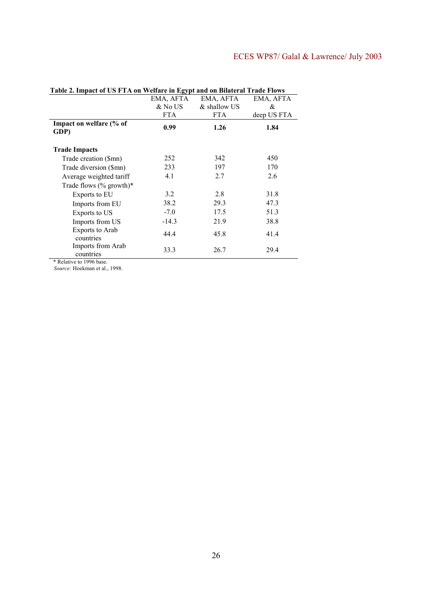# ECES WP87/ Galal & Lawrence/ July 2003

| Table 2. Hilpact of US F LA on Wellart in Egypt and on Dhateral Trade Flows |            |              |             |
|-----------------------------------------------------------------------------|------------|--------------|-------------|
|                                                                             | EMA, AFTA  | EMA, AFTA    | EMA, AFTA   |
|                                                                             | & No US    | & shallow US | &           |
|                                                                             | <b>FTA</b> | <b>FTA</b>   | deep US FTA |
| Impact on welfare (% of<br>GDP)                                             | 0.99       | 1.26         | 1.84        |
| <b>Trade Impacts</b>                                                        |            |              |             |
| Trade creation (\$mn)                                                       | 252        | 342          | 450         |
| Trade diversion (\$mn)                                                      | 233        | 197          | 170         |
| Average weighted tariff                                                     | 4.1        | 2.7          | 2.6         |
| Trade flows $(\%$ growth)*                                                  |            |              |             |
| Exports to EU                                                               | 3.2        | 2.8          | 31.8        |
| Imports from EU                                                             | 38.2       | 29.3         | 47.3        |
| Exports to US                                                               | $-7.0$     | 17.5         | 51.3        |
| Imports from US                                                             | $-14.3$    | 21.9         | 38.8        |
| <b>Exports to Arab</b><br>countries                                         | 44.4       | 45.8         | 41.4        |
| Imports from Arab<br>countries                                              | 33.3       | 26.7         | 29.4        |
| * Relative to 1996 hase                                                     |            |              |             |

**Table 2. Impact of US FTA on Welfare in Egypt and on Bilateral Trade Flows** 

\* Relative to 1996 base.

*Source:* Hoekman et al., 1998.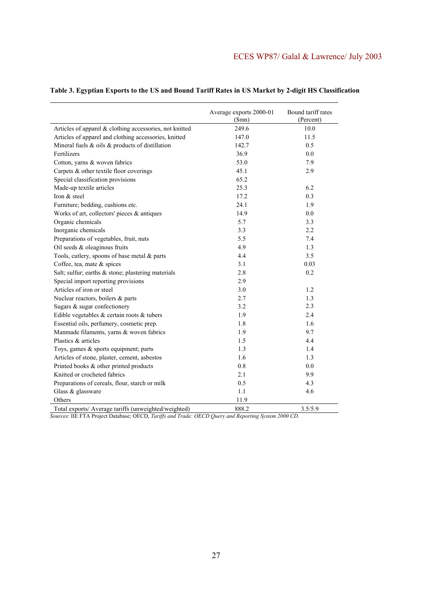|                                                         | Average exports 2000-01<br>(Smn) | Bound tariff rates<br>(Percent) |
|---------------------------------------------------------|----------------------------------|---------------------------------|
| Articles of apparel & clothing accessories, not knitted | 249.6                            | 10.0                            |
| Articles of apparel and clothing accessories, knitted   | 147.0                            | 11.5                            |
| Mineral fuels $\&$ oils $\&$ products of distillation   | 142.7                            | 0.5                             |
| Fertilizers                                             | 36.9                             | 0.0                             |
| Cotton, yarns & woven fabrics                           | 53.0                             | 7.9                             |
| Carpets & other textile floor coverings                 | 45.1                             | 2.9                             |
| Special classification provisions                       | 65.2                             |                                 |
| Made-up textile articles                                | 25.3                             | 6.2                             |
| Iron & steel                                            | 17.2                             | 0.3                             |
| Furniture; bedding, cushions etc.                       | 24.1                             | 1.9                             |
| Works of art, collectors' pieces $\&$ antiques          | 14.9                             | 0.0                             |
| Organic chemicals                                       | 5.7                              | 3.3                             |
| Inorganic chemicals                                     | 3.3                              | 2.2                             |
| Preparations of vegetables, fruit, nuts                 | 5.5                              | 7.4                             |
| Oil seeds & oleaginous fruits                           | 4.9                              | 1.3                             |
| Tools, cutlery, spoons of base metal & parts            | 4.4                              | 3.5                             |
| Coffee, tea, mate & spices                              | 3.1                              | 0.03                            |
| Salt; sulfur; earths & stone; plastering materials      | 2.8                              | 0.2                             |
| Special import reporting provisions                     | 2.9                              |                                 |
| Articles of iron or steel                               | 3.0                              | 1.2                             |
| Nuclear reactors, boilers & parts                       | 2.7                              | 1.3                             |
| Sugars & sugar confectionery                            | 3.2                              | 2.3                             |
| Edible vegetables $\&$ certain roots $\&$ tubers        | 1.9                              | 2.4                             |
| Essential oils, perfumery, cosmetic prep.               | 1.8                              | 1.6                             |
| Manmade filaments, yarns & woven fabrics                | 1.9                              | 9.7                             |
| Plastics & articles                                     | 1.5                              | 4.4                             |
| Toys, games & sports equipment; parts                   | 1.3                              | 1.4                             |
| Articles of stone, plaster, cement, asbestos            | 1.6                              | 1.3                             |
| Printed books & other printed products                  | 0.8                              | 0.0                             |
| Knitted or crocheted fabrics                            | 2.1                              | 9.9                             |
| Preparations of cereals, flour, starch or milk          | 0.5                              | 4.3                             |
| Glass & glassware                                       | 1.1                              | 4.6                             |
| Others                                                  | 11.9                             |                                 |
| Total exports/ Average tariffs (unweighted/weighted)    | 888.2                            | 3.5/5.9                         |

## **Table 3. Egyptian Exports to the US and Bound Tariff Rates in US Market by 2-digit HS Classification**

*Sources*: IIE FTA Project Database; OECD, *Tariffs and Trade: OECD Query and Reporting System 2000 CD*.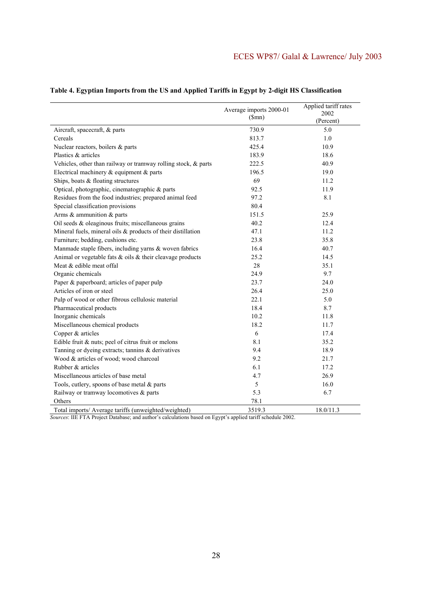|                                                                 | Average imports 2000-01 | Applied tariff rates |
|-----------------------------------------------------------------|-------------------------|----------------------|
|                                                                 | (Smn)                   | 2002<br>(Percent)    |
| Aircraft, spacecraft, & parts                                   | 730.9                   | 5.0                  |
| Cereals                                                         | 813.7                   | 1.0                  |
| Nuclear reactors, boilers & parts                               | 425.4                   | 10.9                 |
| Plastics & articles                                             | 183.9                   | 18.6                 |
| Vehicles, other than railway or tramway rolling stock, & parts  | 222.5                   | 40.9                 |
| Electrical machinery $\&$ equipment $\&$ parts                  | 196.5                   | 19.0                 |
| Ships, boats & floating structures                              | 69                      | 11.2                 |
| Optical, photographic, cinematographic & parts                  | 92.5                    | 11.9                 |
| Residues from the food industries; prepared animal feed         | 97.2                    | 8.1                  |
| Special classification provisions                               | 80.4                    |                      |
| Arms & ammunition & parts                                       | 151.5                   | 25.9                 |
| Oil seeds & oleaginous fruits; miscellaneous grains             | 40.2                    | 12.4                 |
| Mineral fuels, mineral oils & products of their distillation    | 47.1                    | 11.2                 |
| Furniture; bedding, cushions etc.                               | 23.8                    | 35.8                 |
| Manmade staple fibers, including yarns & woven fabrics          | 16.4                    | 40.7                 |
| Animal or vegetable fats $\&$ oils $\&$ their cleavage products | 25.2                    | 14.5                 |
| Meat & edible meat offal                                        | 28                      | 35.1                 |
| Organic chemicals                                               | 24.9                    | 9.7                  |
| Paper & paperboard; articles of paper pulp                      | 23.7                    | 24.0                 |
| Articles of iron or steel                                       | 26.4                    | 25.0                 |
| Pulp of wood or other fibrous cellulosic material               | 22.1                    | 5.0                  |
| Pharmaceutical products                                         | 18.4                    | 8.7                  |
| Inorganic chemicals                                             | 10.2                    | 11.8                 |
| Miscellaneous chemical products                                 | 18.2                    | 11.7                 |
| Copper & articles                                               | 6                       | 17.4                 |
| Edible fruit & nuts; peel of citrus fruit or melons             | 8.1                     | 35.2                 |
| Tanning or dyeing extracts; tannins & derivatives               | 9.4                     | 18.9                 |
| Wood & articles of wood; wood charcoal                          | 9.2                     | 21.7                 |
| Rubber & articles                                               | 6.1                     | 17.2                 |
| Miscellaneous articles of base metal                            | 4.7                     | 26.9                 |
| Tools, cutlery, spoons of base metal & parts                    | 5                       | 16.0                 |
| Railway or tramway locomotives & parts                          | 5.3                     | 6.7                  |
| Others                                                          | 78.1                    |                      |
| Total imports/ Average tariffs (unweighted/weighted)            | 3519.3                  | 18.0/11.3            |

## **Table 4. Egyptian Imports from the US and Applied Tariffs in Egypt by 2-digit HS Classification**

*Sources*: IIE FTA Project Database; and author's calculations based on Egypt's applied tariff schedule 2002.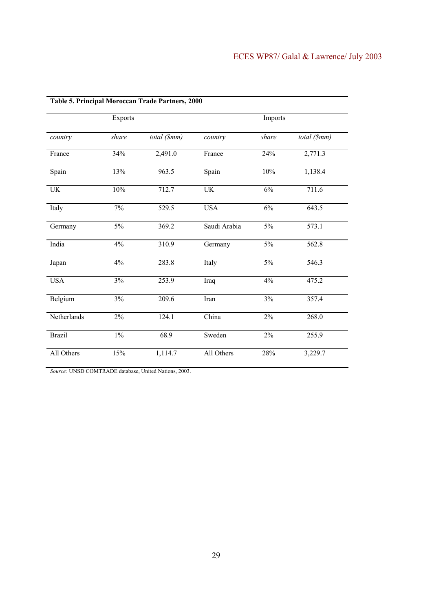| Table 5. Principal Moroccan Trade Partners, 2000 |         |              |                                 |         |              |
|--------------------------------------------------|---------|--------------|---------------------------------|---------|--------------|
|                                                  | Exports |              |                                 | Imports |              |
| country                                          | share   | total (\$mm) | country                         | share   | total (\$mm) |
| France                                           | 34%     | 2,491.0      | France                          | 24%     | 2,771.3      |
| Spain                                            | 13%     | 963.5        | Spain                           | $10\%$  | 1,138.4      |
| UK                                               | 10%     | 712.7        | $\ensuremath{\text{UK}}\xspace$ | $6\%$   | 711.6        |
| Italy                                            | 7%      | 529.5        | <b>USA</b>                      | 6%      | 643.5        |
| Germany                                          | 5%      | 369.2        | Saudi Arabia                    | 5%      | 573.1        |
| India                                            | 4%      | 310.9        | Germany                         | 5%      | 562.8        |
| Japan                                            | 4%      | 283.8        | Italy                           | $5\%$   | 546.3        |
| <b>USA</b>                                       | 3%      | 253.9        | Iraq                            | 4%      | 475.2        |
| Belgium                                          | 3%      | 209.6        | Iran                            | 3%      | 357.4        |
| Netherlands                                      | 2%      | 124.1        | China                           | $2\%$   | 268.0        |
| <b>Brazil</b>                                    | $1\%$   | 68.9         | Sweden                          | 2%      | 255.9        |
| All Others                                       | 15%     | 1,114.7      | All Others                      | 28%     | 3,229.7      |

*Source:* UNSD COMTRADE database, United Nations, 2003.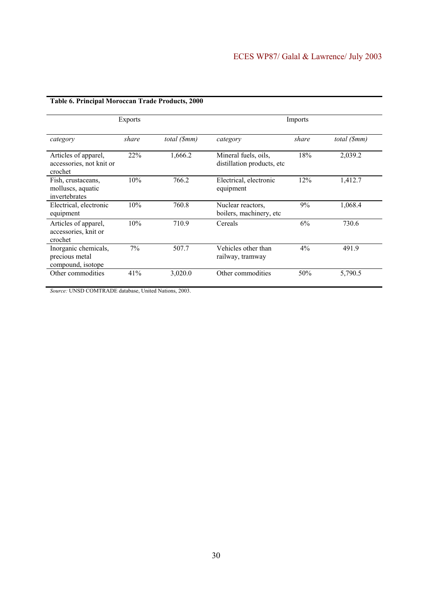| <b>Exports</b>                                              |       |              | Imports                                             |       |              |
|-------------------------------------------------------------|-------|--------------|-----------------------------------------------------|-------|--------------|
| category                                                    | share | total (\$mm) | category                                            | share | total (\$mm) |
| Articles of apparel,<br>accessories, not knit or<br>crochet | 22%   | 1,666.2      | Mineral fuels, oils,<br>distillation products, etc. | 18%   | 2,039.2      |
| Fish, crustaceans,<br>molluses, aquatic<br>invertebrates    | 10%   | 766.2        | Electrical, electronic<br>equipment                 | 12%   | 1,412.7      |
| Electrical, electronic<br>equipment                         | 10%   | 760.8        | Nuclear reactors,<br>boilers, machinery, etc.       | 9%    | 1,068.4      |
| Articles of apparel,<br>accessories, knit or<br>crochet     | 10%   | 710.9        | Cereals                                             | 6%    | 730.6        |
| Inorganic chemicals,<br>precious metal<br>compound, isotope | $7\%$ | 507.7        | Vehicles other than<br>railway, tramway             | $4\%$ | 491.9        |
| Other commodities                                           | 41%   | 3,020.0      | Other commodities                                   | 50%   | 5,790.5      |

## **Table 6. Principal Moroccan Trade Products, 2000**

*Source:* UNSD COMTRADE database, United Nations, 2003.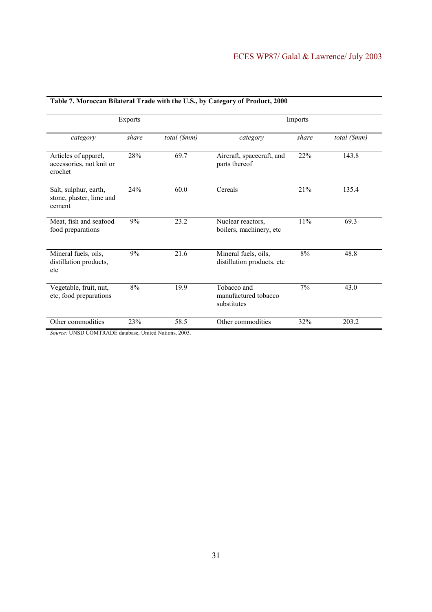| <b>Exports</b>                                              |       |              | Imports                                             |       |              |
|-------------------------------------------------------------|-------|--------------|-----------------------------------------------------|-------|--------------|
| category                                                    | share | total (\$mm) | category                                            | share | total (\$mm) |
| Articles of apparel,<br>accessories, not knit or<br>crochet | 28%   | 69.7         | Aircraft, spacecraft, and<br>parts thereof          | 22%   | 143.8        |
| Salt, sulphur, earth,<br>stone, plaster, lime and<br>cement | 24%   | 60.0         | Cereals                                             | 21%   | 135.4        |
| Meat, fish and seafood<br>food preparations                 | 9%    | 23.2         | Nuclear reactors,<br>boilers, machinery, etc        | 11%   | 69.3         |
| Mineral fuels, oils,<br>distillation products,<br>etc       | 9%    | 21.6         | Mineral fuels, oils,<br>distillation products, etc. | $8\%$ | 48.8         |
| Vegetable, fruit, nut,<br>etc, food preparations            | 8%    | 19.9         | Tobacco and<br>manufactured tobacco<br>substitutes  | 7%    | 43.0         |
| Other commodities                                           | 23%   | 58.5         | Other commodities                                   | 32%   | 203.2        |

## **Table 7. Moroccan Bilateral Trade with the U.S., by Category of Product, 2000**

*Source:* UNSD COMTRADE database, United Nations, 2003.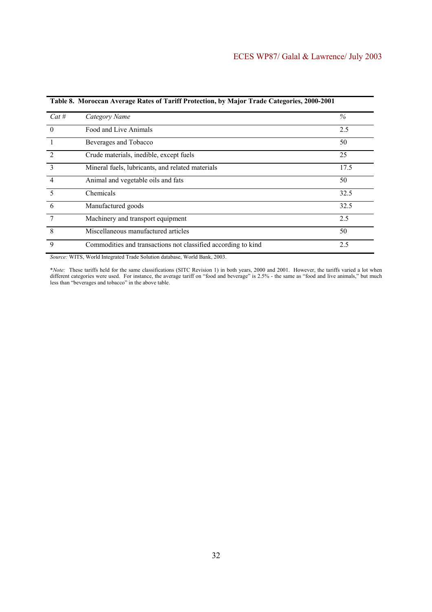| $Cat$ #        | Category Name                                                 | $\%$ |
|----------------|---------------------------------------------------------------|------|
| $\overline{0}$ | Food and Live Animals                                         | 2.5  |
|                | Beverages and Tobacco                                         | 50   |
| 2              | Crude materials, inedible, except fuels                       | 25   |
| $\mathcal{E}$  | Mineral fuels, lubricants, and related materials              | 17.5 |
| $\overline{4}$ | Animal and vegetable oils and fats                            | 50   |
| -5             | Chemicals                                                     | 32.5 |
| 6              | Manufactured goods                                            | 32.5 |
| 7              | Machinery and transport equipment                             | 2.5  |
| 8              | Miscellaneous manufactured articles                           | 50   |
| 9              | Commodities and transactions not classified according to kind | 2.5  |

**Table 8. Moroccan Average Rates of Tariff Protection, by Major Trade Categories, 2000-2001** 

*Source:* WITS, World Integrated Trade Solution database, World Bank, 2003.

\**Note:* These tariffs held for the same classifications (SITC Revision 1) in both years, 2000 and 2001. However, the tariffs varied a lot when different categories were used. For instance, the average tariff on "food and beverage" is 2.5% - the same as "food and live animals," but much less than "beverages and tobacco" in the above table.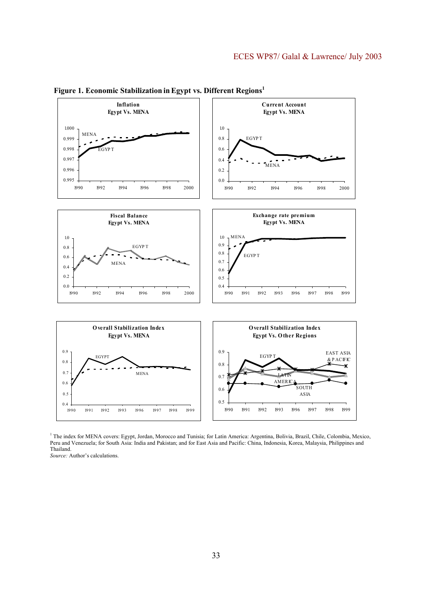

Figure 1. Economic Stabilization in Egypt vs. Different Regions<sup>1</sup>

<sup>1</sup> The index for MENA covers: Egypt, Jordan, Morocco and Tunisia; for Latin America: Argentina, Bolivia, Brazil, Chile, Colombia, Mexico, Peru and Venezuela; for South Asia: India and Pakistan; and for East Asia and Pacific: China, Indonesia, Korea, Malaysia, Philippines and Thailand.

*Source:* Author's calculations.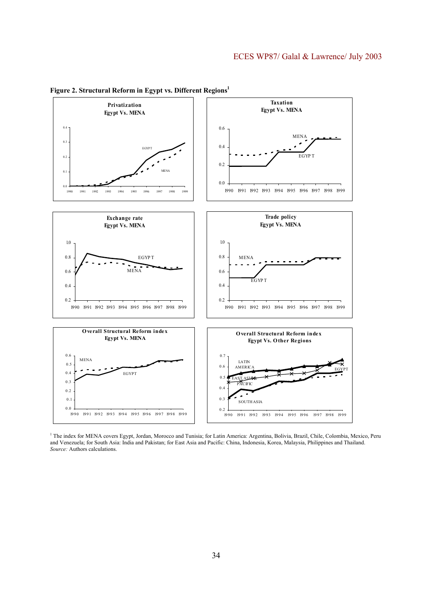

**Figure 2. Structural Reform in Egypt vs. Different Regions1** 

<sup>1</sup> The index for MENA covers Egypt, Jordan, Morocco and Tunisia; for Latin America: Argentina, Bolivia, Brazil, Chile, Colombia, Mexico, Peru and Venezuela; for South Asia: India and Pakistan; for East Asia and Pacific: China, Indonesia, Korea, Malaysia, Philippines and Thailand. *Source:* Authors calculations.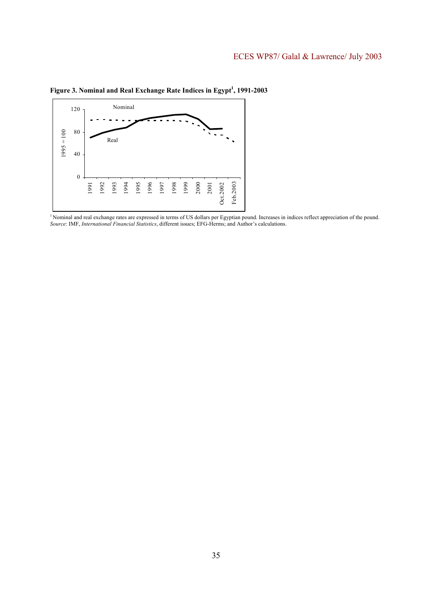

Figure 3. Nominal and Real Exchange Rate Indices in Egypt<sup>1</sup>, 1991-2003

<sup>1</sup> Nominal and real exchange rates are expressed in terms of US dollars per Egyptian pound. Increases in indices reflect appreciation of the pound. *Source*: IMF, *International Financial Statistics*, different issues; EFG-Herms; and Author's calculations.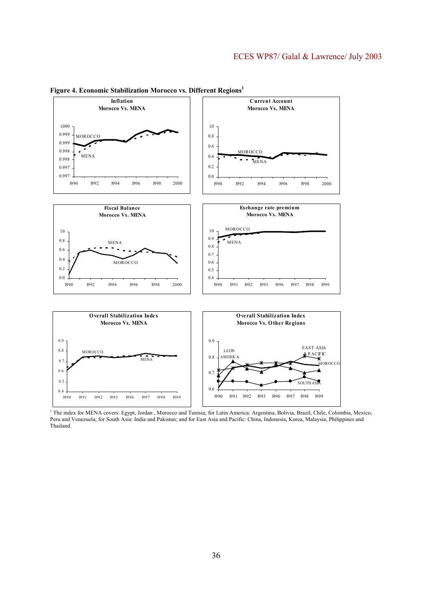

**Figure 4. Economic Stabilization Morocco vs. Different Regions1**

<sup>&</sup>lt;sup>1</sup> The index for MENA covers: Egypt, Jordan, Morocco and Tunisia; for Latin America: Argentina, Bolivia, Brazil, Chile, Colombia, Mexico, Peru and Venezuela; for South Asia: India and Pakistan; and for East Asia and Pacific: China, Indonesia, Korea, Malaysia, Philippines and Thailand.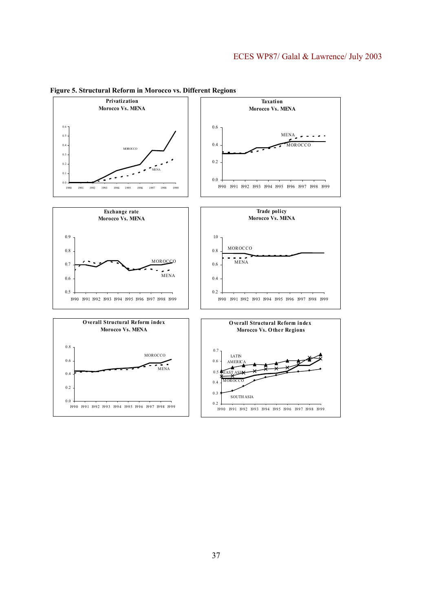

**Figure 5. Structural Reform in Morocco vs. Different Regions**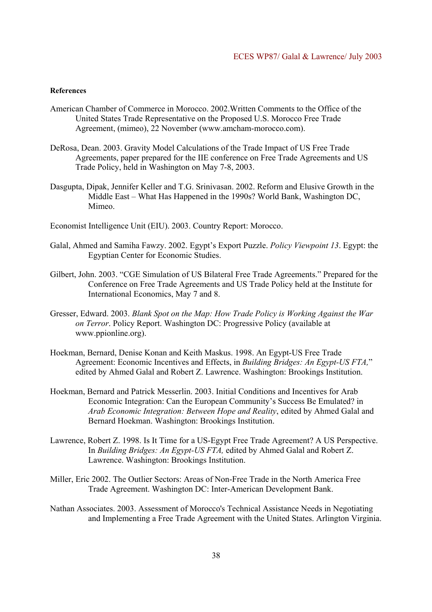#### **References**

- American Chamber of Commerce in Morocco. 2002.Written Comments to the Office of the United States Trade Representative on the Proposed U.S. Morocco Free Trade Agreement, (mimeo), 22 November (www.amcham-morocco.com).
- DeRosa, Dean. 2003. Gravity Model Calculations of the Trade Impact of US Free Trade Agreements, paper prepared for the IIE conference on Free Trade Agreements and US Trade Policy, held in Washington on May 7-8, 2003.
- Dasgupta, Dipak, Jennifer Keller and T.G. Srinivasan. 2002. Reform and Elusive Growth in the Middle East – What Has Happened in the 1990s? World Bank, Washington DC, Mimeo.
- Economist Intelligence Unit (EIU). 2003. Country Report: Morocco.
- Galal, Ahmed and Samiha Fawzy. 2002. Egypt's Export Puzzle. *Policy Viewpoint 13*. Egypt: the Egyptian Center for Economic Studies.
- Gilbert, John. 2003. "CGE Simulation of US Bilateral Free Trade Agreements." Prepared for the Conference on Free Trade Agreements and US Trade Policy held at the Institute for International Economics, May 7 and 8.
- Gresser, Edward. 2003. *Blank Spot on the Map: How Trade Policy is Working Against the War on Terror*. Policy Report. Washington DC: Progressive Policy (available at www.ppionline.org).
- Hoekman, Bernard, Denise Konan and Keith Maskus. 1998. An Egypt-US Free Trade Agreement: Economic Incentives and Effects, in *Building Bridges: An Egypt-US FTA,*" edited by Ahmed Galal and Robert Z. Lawrence. Washington: Brookings Institution.
- Hoekman, Bernard and Patrick Messerlin. 2003. Initial Conditions and Incentives for Arab Economic Integration: Can the European Community's Success Be Emulated? in *Arab Economic Integration: Between Hope and Reality*, edited by Ahmed Galal and Bernard Hoekman. Washington: Brookings Institution.
- Lawrence, Robert Z. 1998. Is It Time for a US-Egypt Free Trade Agreement? A US Perspective. In *Building Bridges: An Egypt-US FTA,* edited by Ahmed Galal and Robert Z. Lawrence. Washington: Brookings Institution.
- Miller, Eric 2002. The Outlier Sectors: Areas of Non-Free Trade in the North America Free Trade Agreement. Washington DC: Inter-American Development Bank.
- Nathan Associates. 2003. Assessment of Morocco's Technical Assistance Needs in Negotiating and Implementing a Free Trade Agreement with the United States. Arlington Virginia.